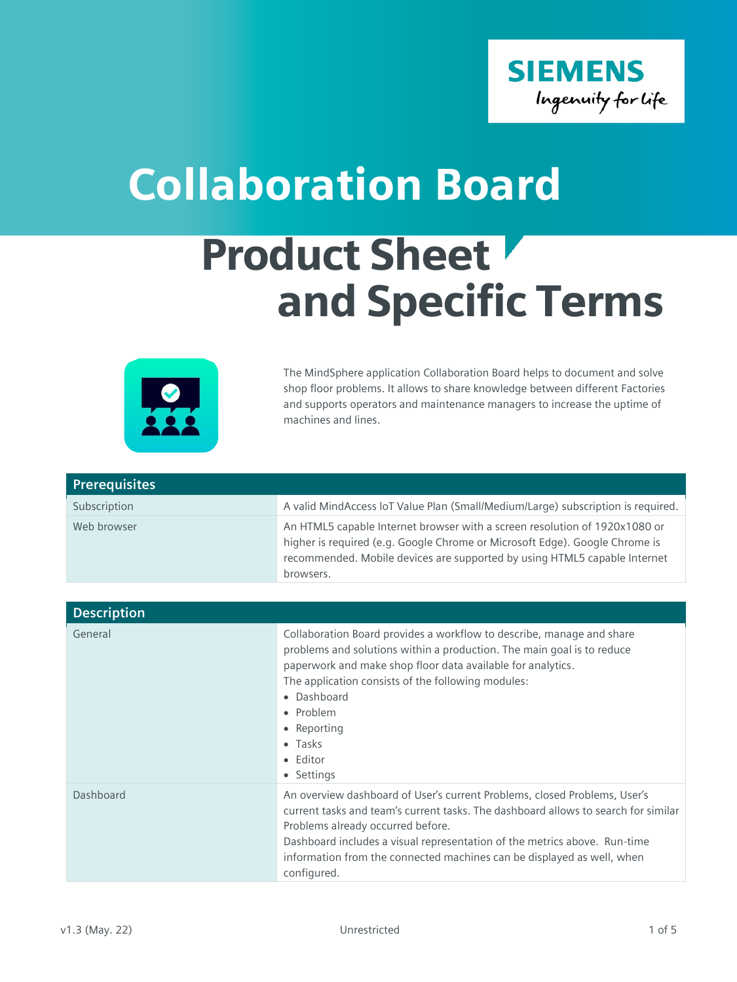

## Collaboration Board

## Product Sheet and Specific Terms



The MindSphere application Collaboration Board helps to document and solve shop floor problems. It allows to share knowledge between different Factories and supports operators and maintenance managers to increase the uptime of machines and lines.

| <b>Prerequisites</b> |                                                                                                                                                                                                                                                     |
|----------------------|-----------------------------------------------------------------------------------------------------------------------------------------------------------------------------------------------------------------------------------------------------|
| Subscription         | A valid MindAccess IoT Value Plan (Small/Medium/Large) subscription is required.                                                                                                                                                                    |
| Web browser          | An HTML5 capable Internet browser with a screen resolution of 1920x1080 or<br>higher is required (e.g. Google Chrome or Microsoft Edge). Google Chrome is<br>recommended. Mobile devices are supported by using HTML5 capable Internet<br>browsers. |

| <b>Description</b> |                                                                                                                                                                                                                                                                                                                                                                            |
|--------------------|----------------------------------------------------------------------------------------------------------------------------------------------------------------------------------------------------------------------------------------------------------------------------------------------------------------------------------------------------------------------------|
| General            | Collaboration Board provides a workflow to describe, manage and share<br>problems and solutions within a production. The main goal is to reduce<br>paperwork and make shop floor data available for analytics.<br>The application consists of the following modules:<br>• Dashboard<br>• Problem<br>• Reporting<br>$\bullet$ Tasks<br>• Editor<br>• Settings               |
| Dashboard          | An overview dashboard of User's current Problems, closed Problems, User's<br>current tasks and team's current tasks. The dashboard allows to search for similar<br>Problems already occurred before.<br>Dashboard includes a visual representation of the metrics above. Run-time<br>information from the connected machines can be displayed as well, when<br>configured. |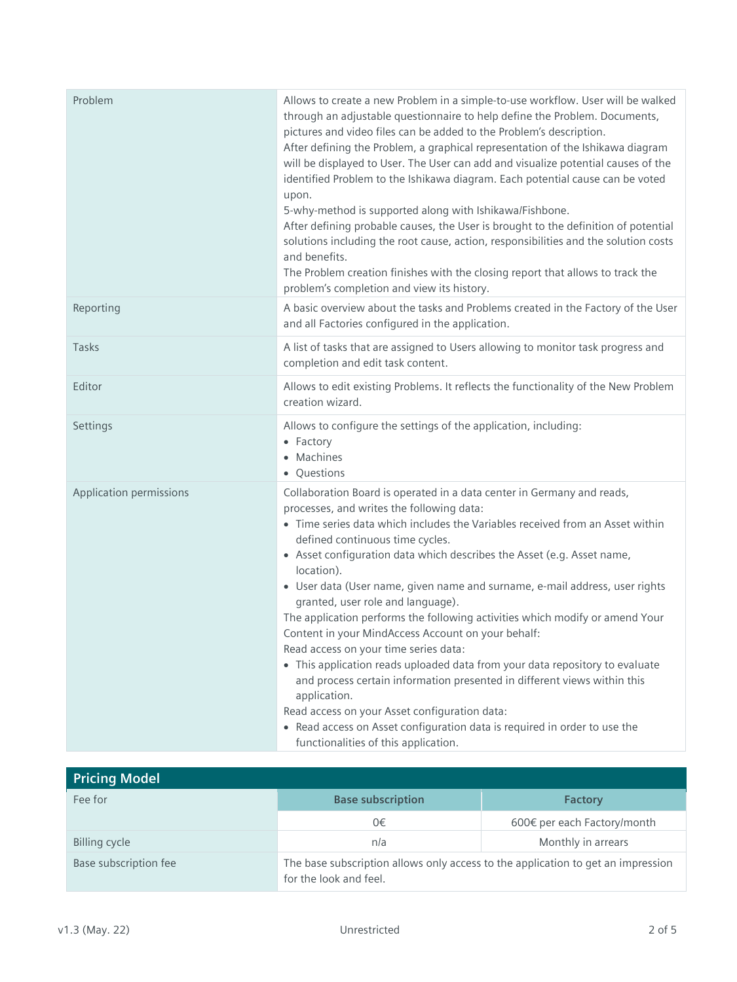| Problem                 | Allows to create a new Problem in a simple-to-use workflow. User will be walked<br>through an adjustable questionnaire to help define the Problem. Documents,<br>pictures and video files can be added to the Problem's description.<br>After defining the Problem, a graphical representation of the Ishikawa diagram<br>will be displayed to User. The User can add and visualize potential causes of the<br>identified Problem to the Ishikawa diagram. Each potential cause can be voted<br>upon.<br>5-why-method is supported along with Ishikawa/Fishbone.<br>After defining probable causes, the User is brought to the definition of potential<br>solutions including the root cause, action, responsibilities and the solution costs<br>and benefits.<br>The Problem creation finishes with the closing report that allows to track the<br>problem's completion and view its history.                                                                                       |
|-------------------------|--------------------------------------------------------------------------------------------------------------------------------------------------------------------------------------------------------------------------------------------------------------------------------------------------------------------------------------------------------------------------------------------------------------------------------------------------------------------------------------------------------------------------------------------------------------------------------------------------------------------------------------------------------------------------------------------------------------------------------------------------------------------------------------------------------------------------------------------------------------------------------------------------------------------------------------------------------------------------------------|
| Reporting               | A basic overview about the tasks and Problems created in the Factory of the User<br>and all Factories configured in the application.                                                                                                                                                                                                                                                                                                                                                                                                                                                                                                                                                                                                                                                                                                                                                                                                                                                 |
| Tasks                   | A list of tasks that are assigned to Users allowing to monitor task progress and<br>completion and edit task content.                                                                                                                                                                                                                                                                                                                                                                                                                                                                                                                                                                                                                                                                                                                                                                                                                                                                |
| Editor                  | Allows to edit existing Problems. It reflects the functionality of the New Problem<br>creation wizard.                                                                                                                                                                                                                                                                                                                                                                                                                                                                                                                                                                                                                                                                                                                                                                                                                                                                               |
| Settings                | Allows to configure the settings of the application, including:<br>• Factory<br>• Machines<br>• Questions                                                                                                                                                                                                                                                                                                                                                                                                                                                                                                                                                                                                                                                                                                                                                                                                                                                                            |
| Application permissions | Collaboration Board is operated in a data center in Germany and reads,<br>processes, and writes the following data:<br>• Time series data which includes the Variables received from an Asset within<br>defined continuous time cycles.<br>• Asset configuration data which describes the Asset (e.g. Asset name,<br>location).<br>• User data (User name, given name and surname, e-mail address, user rights<br>granted, user role and language).<br>The application performs the following activities which modify or amend Your<br>Content in your MindAccess Account on your behalf:<br>Read access on your time series data:<br>• This application reads uploaded data from your data repository to evaluate<br>and process certain information presented in different views within this<br>application.<br>Read access on your Asset configuration data:<br>• Read access on Asset configuration data is required in order to use the<br>functionalities of this application. |

| <b>Pricing Model</b>  |                                                                                                            |                             |
|-----------------------|------------------------------------------------------------------------------------------------------------|-----------------------------|
| Fee for               | <b>Base subscription</b>                                                                                   | <b>Factory</b>              |
|                       | 0€                                                                                                         | 600€ per each Factory/month |
| Billing cycle         | n/a                                                                                                        | Monthly in arrears          |
| Base subscription fee | The base subscription allows only access to the application to get an impression<br>for the look and feel. |                             |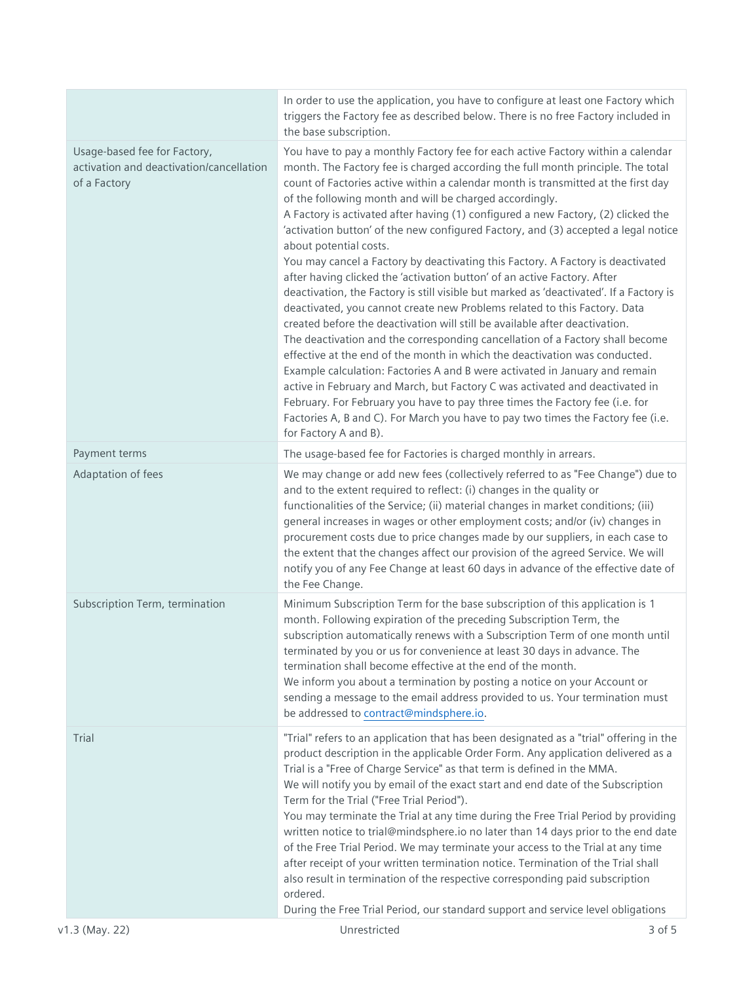|                                                                                          | In order to use the application, you have to configure at least one Factory which<br>triggers the Factory fee as described below. There is no free Factory included in<br>the base subscription.                                                                                                                                                                                                                                                                                                                                                                                                                                                                                                                                                                                                                                                                                                                                                                                                                                                                                                                                                                                                                                                                                                                                                                                                                                                                         |  |
|------------------------------------------------------------------------------------------|--------------------------------------------------------------------------------------------------------------------------------------------------------------------------------------------------------------------------------------------------------------------------------------------------------------------------------------------------------------------------------------------------------------------------------------------------------------------------------------------------------------------------------------------------------------------------------------------------------------------------------------------------------------------------------------------------------------------------------------------------------------------------------------------------------------------------------------------------------------------------------------------------------------------------------------------------------------------------------------------------------------------------------------------------------------------------------------------------------------------------------------------------------------------------------------------------------------------------------------------------------------------------------------------------------------------------------------------------------------------------------------------------------------------------------------------------------------------------|--|
| Usage-based fee for Factory,<br>activation and deactivation/cancellation<br>of a Factory | You have to pay a monthly Factory fee for each active Factory within a calendar<br>month. The Factory fee is charged according the full month principle. The total<br>count of Factories active within a calendar month is transmitted at the first day<br>of the following month and will be charged accordingly.<br>A Factory is activated after having (1) configured a new Factory, (2) clicked the<br>'activation button' of the new configured Factory, and (3) accepted a legal notice<br>about potential costs.<br>You may cancel a Factory by deactivating this Factory. A Factory is deactivated<br>after having clicked the 'activation button' of an active Factory. After<br>deactivation, the Factory is still visible but marked as 'deactivated'. If a Factory is<br>deactivated, you cannot create new Problems related to this Factory. Data<br>created before the deactivation will still be available after deactivation.<br>The deactivation and the corresponding cancellation of a Factory shall become<br>effective at the end of the month in which the deactivation was conducted.<br>Example calculation: Factories A and B were activated in January and remain<br>active in February and March, but Factory C was activated and deactivated in<br>February. For February you have to pay three times the Factory fee (i.e. for<br>Factories A, B and C). For March you have to pay two times the Factory fee (i.e.<br>for Factory A and B). |  |
| Payment terms                                                                            | The usage-based fee for Factories is charged monthly in arrears.                                                                                                                                                                                                                                                                                                                                                                                                                                                                                                                                                                                                                                                                                                                                                                                                                                                                                                                                                                                                                                                                                                                                                                                                                                                                                                                                                                                                         |  |
| Adaptation of fees                                                                       | We may change or add new fees (collectively referred to as "Fee Change") due to<br>and to the extent required to reflect: (i) changes in the quality or<br>functionalities of the Service; (ii) material changes in market conditions; (iii)<br>general increases in wages or other employment costs; and/or (iv) changes in<br>procurement costs due to price changes made by our suppliers, in each case to<br>the extent that the changes affect our provision of the agreed Service. We will<br>notify you of any Fee Change at least 60 days in advance of the effective date of<br>the Fee Change.                                                                                                                                                                                                                                                                                                                                                                                                                                                                                                                                                                                                                                                                                                                                                                                                                                                                 |  |
| Subscription Term, termination                                                           | Minimum Subscription Term for the base subscription of this application is 1<br>month. Following expiration of the preceding Subscription Term, the<br>subscription automatically renews with a Subscription Term of one month until<br>terminated by you or us for convenience at least 30 days in advance. The<br>termination shall become effective at the end of the month.<br>We inform you about a termination by posting a notice on your Account or<br>sending a message to the email address provided to us. Your termination must<br>be addressed to contract@mindsphere.io.                                                                                                                                                                                                                                                                                                                                                                                                                                                                                                                                                                                                                                                                                                                                                                                                                                                                                   |  |
| Trial                                                                                    | "Trial" refers to an application that has been designated as a "trial" offering in the<br>product description in the applicable Order Form. Any application delivered as a<br>Trial is a "Free of Charge Service" as that term is defined in the MMA.<br>We will notify you by email of the exact start and end date of the Subscription<br>Term for the Trial ("Free Trial Period").<br>You may terminate the Trial at any time during the Free Trial Period by providing<br>written notice to trial@mindsphere.io no later than 14 days prior to the end date<br>of the Free Trial Period. We may terminate your access to the Trial at any time<br>after receipt of your written termination notice. Termination of the Trial shall<br>also result in termination of the respective corresponding paid subscription<br>ordered.<br>During the Free Trial Period, our standard support and service level obligations                                                                                                                                                                                                                                                                                                                                                                                                                                                                                                                                                   |  |
| v1.3 (May. 22)                                                                           | Unrestricted<br>$3$ of $5$                                                                                                                                                                                                                                                                                                                                                                                                                                                                                                                                                                                                                                                                                                                                                                                                                                                                                                                                                                                                                                                                                                                                                                                                                                                                                                                                                                                                                                               |  |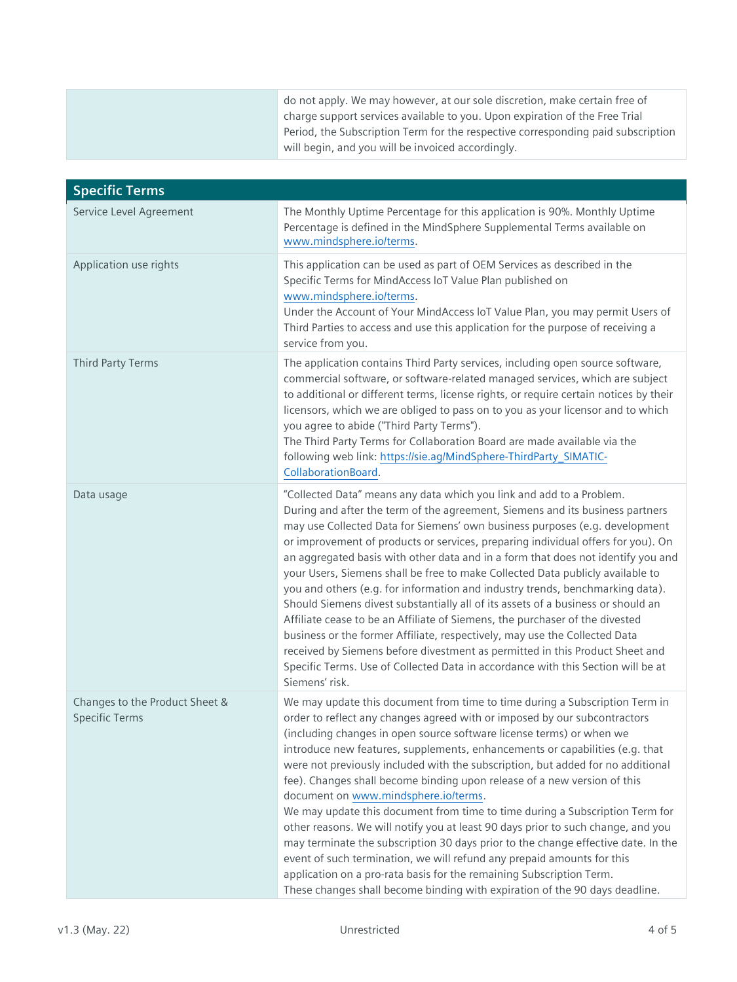| do not apply. We may however, at our sole discretion, make certain free of<br>charge support services available to you. Upon expiration of the Free Trial |
|-----------------------------------------------------------------------------------------------------------------------------------------------------------|
| Period, the Subscription Term for the respective corresponding paid subscription<br>will begin, and you will be invoiced accordingly.                     |

| <b>Specific Terms</b>                                   |                                                                                                                                                                                                                                                                                                                                                                                                                                                                                                                                                                                                                                                                                                                                                                                                                                                                                                                                                                                                                         |
|---------------------------------------------------------|-------------------------------------------------------------------------------------------------------------------------------------------------------------------------------------------------------------------------------------------------------------------------------------------------------------------------------------------------------------------------------------------------------------------------------------------------------------------------------------------------------------------------------------------------------------------------------------------------------------------------------------------------------------------------------------------------------------------------------------------------------------------------------------------------------------------------------------------------------------------------------------------------------------------------------------------------------------------------------------------------------------------------|
| Service Level Agreement                                 | The Monthly Uptime Percentage for this application is 90%. Monthly Uptime<br>Percentage is defined in the MindSphere Supplemental Terms available on<br>www.mindsphere.io/terms.                                                                                                                                                                                                                                                                                                                                                                                                                                                                                                                                                                                                                                                                                                                                                                                                                                        |
| Application use rights                                  | This application can be used as part of OEM Services as described in the<br>Specific Terms for MindAccess loT Value Plan published on<br>www.mindsphere.io/terms.<br>Under the Account of Your MindAccess loT Value Plan, you may permit Users of<br>Third Parties to access and use this application for the purpose of receiving a<br>service from you.                                                                                                                                                                                                                                                                                                                                                                                                                                                                                                                                                                                                                                                               |
| Third Party Terms                                       | The application contains Third Party services, including open source software,<br>commercial software, or software-related managed services, which are subject<br>to additional or different terms, license rights, or require certain notices by their<br>licensors, which we are obliged to pass on to you as your licensor and to which<br>you agree to abide ("Third Party Terms").<br>The Third Party Terms for Collaboration Board are made available via the<br>following web link: https://sie.ag/MindSphere-ThirdParty_SIMATIC-<br>CollaborationBoard.                                                                                                                                                                                                                                                                                                                                                                                                                                                         |
| Data usage                                              | "Collected Data" means any data which you link and add to a Problem.<br>During and after the term of the agreement, Siemens and its business partners<br>may use Collected Data for Siemens' own business purposes (e.g. development<br>or improvement of products or services, preparing individual offers for you). On<br>an aggregated basis with other data and in a form that does not identify you and<br>your Users, Siemens shall be free to make Collected Data publicly available to<br>you and others (e.g. for information and industry trends, benchmarking data).<br>Should Siemens divest substantially all of its assets of a business or should an<br>Affiliate cease to be an Affiliate of Siemens, the purchaser of the divested<br>business or the former Affiliate, respectively, may use the Collected Data<br>received by Siemens before divestment as permitted in this Product Sheet and<br>Specific Terms. Use of Collected Data in accordance with this Section will be at<br>Siemens' risk. |
| Changes to the Product Sheet &<br><b>Specific Terms</b> | We may update this document from time to time during a Subscription Term in<br>order to reflect any changes agreed with or imposed by our subcontractors<br>(including changes in open source software license terms) or when we<br>introduce new features, supplements, enhancements or capabilities (e.g. that<br>were not previously included with the subscription, but added for no additional<br>fee). Changes shall become binding upon release of a new version of this<br>document on www.mindsphere.io/terms.<br>We may update this document from time to time during a Subscription Term for<br>other reasons. We will notify you at least 90 days prior to such change, and you<br>may terminate the subscription 30 days prior to the change effective date. In the<br>event of such termination, we will refund any prepaid amounts for this<br>application on a pro-rata basis for the remaining Subscription Term.<br>These changes shall become binding with expiration of the 90 days deadline.       |